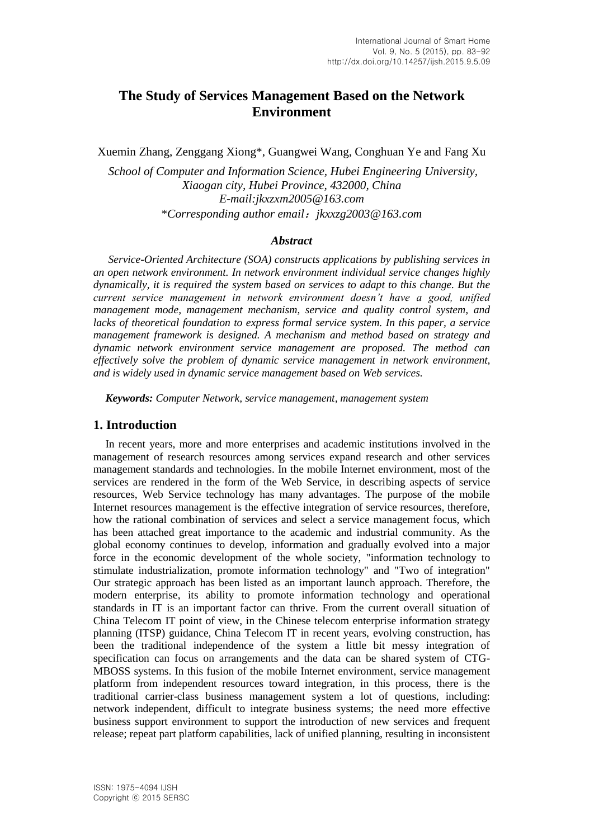# **The Study of Services Management Based on the Network Environment**

Xuemin Zhang, Zenggang Xiong\*, Guangwei Wang, Conghuan Ye and Fang Xu

*School of Computer and Information Science, Hubei Engineering University, Xiaogan city, Hubei Province, 432000, China E-mail:jkxzxm2005@163.com* \**Corresponding author email*:*jkxxzg2003@163.com*

#### *Abstract*

*Service-Oriented Architecture (SOA) constructs applications by publishing services in an open network environment. In network environment individual service changes highly dynamically, it is required the system based on services to adapt to this change. But the current service management in network environment doesn't have a good, unified management mode, management mechanism, service and quality control system, and lacks of theoretical foundation to express formal service system. In this paper, a service management framework is designed. A mechanism and method based on strategy and dynamic network environment service management are proposed. The method can effectively solve the problem of dynamic service management in network environment, and is widely used in dynamic service management based on Web services.*

*Keywords: Computer Network, service management, management system*

### **1. Introduction**

In recent years, more and more enterprises and academic institutions involved in the management of research resources among services expand research and other services management standards and technologies. In the mobile Internet environment, most of the services are rendered in the form of the Web Service, in describing aspects of service resources, Web Service technology has many advantages. The purpose of the mobile Internet resources management is the effective integration of service resources, therefore, how the rational combination of services and select a service management focus, which has been attached great importance to the academic and industrial community. As the global economy continues to develop, information and gradually evolved into a major force in the economic development of the whole society, "information technology to stimulate industrialization, promote information technology" and "Two of integration" Our strategic approach has been listed as an important launch approach. Therefore, the modern enterprise, its ability to promote information technology and operational standards in IT is an important factor can thrive. From the current overall situation of China Telecom IT point of view, in the Chinese telecom enterprise information strategy planning (ITSP) guidance, China Telecom IT in recent years, evolving construction, has been the traditional independence of the system a little bit messy integration of specification can focus on arrangements and the data can be shared system of CTG-MBOSS systems. In this fusion of the mobile Internet environment, service management platform from independent resources toward integration, in this process, there is the traditional carrier-class business management system a lot of questions, including: network independent, difficult to integrate business systems; the need more effective business support environment to support the introduction of new services and frequent release; repeat part platform capabilities, lack of unified planning, resulting in inconsistent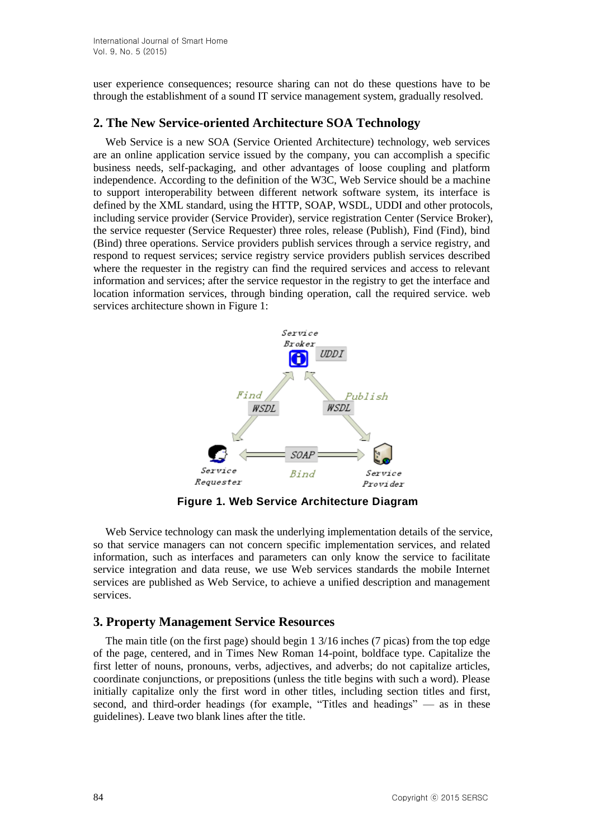user experience consequences; resource sharing can not do these questions have to be through the establishment of a sound IT service management system, gradually resolved.

### **2. The New Service-oriented Architecture SOA Technology**

Web Service is a new SOA (Service Oriented Architecture) technology, web services are an online application service issued by the company, you can accomplish a specific business needs, self-packaging, and other advantages of loose coupling and platform independence. According to the definition of the W3C, Web Service should be a machine to support interoperability between different network software system, its interface is defined by the XML standard, using the HTTP, SOAP, WSDL, UDDI and other protocols, including service provider (Service Provider), service registration Center (Service Broker), the service requester (Service Requester) three roles, release (Publish), Find (Find), bind (Bind) three operations. Service providers publish services through a service registry, and respond to request services; service registry service providers publish services described where the requester in the registry can find the required services and access to relevant information and services; after the service requestor in the registry to get the interface and location information services, through binding operation, call the required service. web services architecture shown in Figure 1:



**Figure 1. Web Service Architecture Diagram**

Web Service technology can mask the underlying implementation details of the service, so that service managers can not concern specific implementation services, and related information, such as interfaces and parameters can only know the service to facilitate service integration and data reuse, we use Web services standards the mobile Internet services are published as Web Service, to achieve a unified description and management services.

### **3. Property Management Service Resources**

The main title (on the first page) should begin 1 3/16 inches (7 picas) from the top edge of the page, centered, and in Times New Roman 14-point, boldface type. Capitalize the first letter of nouns, pronouns, verbs, adjectives, and adverbs; do not capitalize articles, coordinate conjunctions, or prepositions (unless the title begins with such a word). Please initially capitalize only the first word in other titles, including section titles and first, second, and third-order headings (for example, "Titles and headings" — as in these guidelines). Leave two blank lines after the title.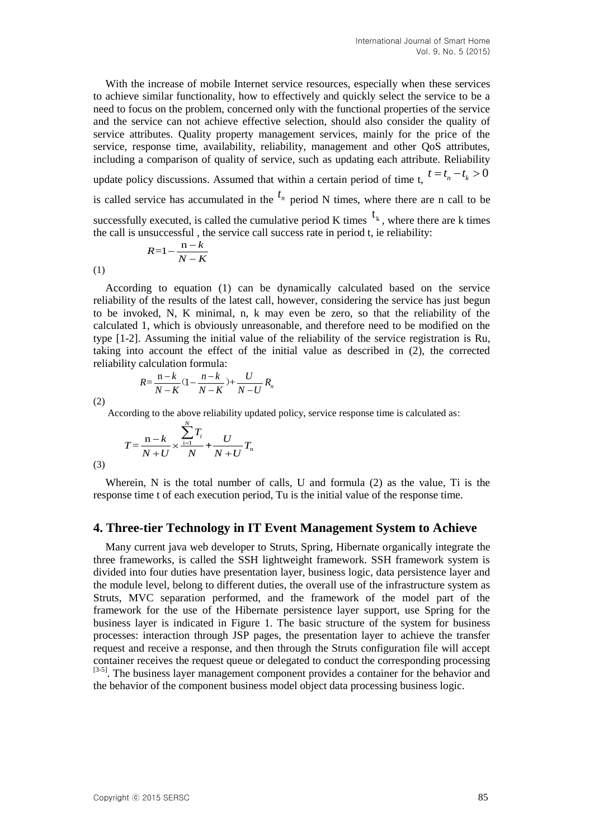With the increase of mobile Internet service resources, especially when these services to achieve similar functionality, how to effectively and quickly select the service to be a need to focus on the problem, concerned only with the functional properties of the service and the service can not achieve effective selection, should also consider the quality of service attributes. Quality property management services, mainly for the price of the service, response time, availability, reliability, management and other QoS attributes, including a comparison of quality of service, such as updating each attribute. Reliability

update policy discussions. Assumed that within a certain period of time t,  $t = t_n - t_k > 0$ 

is called service has accumulated in the  $t_n$  period N times, where there are n call to be

successfully executed, is called the cumulative period K times  $t_k$ , where there are k times the call is unsuccessful , the service call success rate in period t, ie reliability:

$$
R = 1 - \frac{n - k}{N - K}
$$

(1)

According to equation (1) can be dynamically calculated based on the service reliability of the results of the latest call, however, considering the service has just begun to be invoked, N, K minimal, n, k may even be zero, so that the reliability of the calculated 1, which is obviously unreasonable, and therefore need to be modified on the type [1-2]. Assuming the initial value of the reliability of the service registration is Ru, taking into account the effect of the initial value as described in (2), the corrected

reliability calculation formula:  
\n
$$
R = \frac{n-k}{N-K}(1 - \frac{n-k}{N-K}) + \frac{U}{N-U}R_n
$$

(2)

According to the above reliability updated policy, service response time is calculated as:

$$
T = \frac{n-k}{N+U} \times \frac{\sum_{i=1}^{N} T_i}{N} + \frac{U}{N+U} T_n
$$

(3)

Wherein, N is the total number of calls, U and formula (2) as the value, Ti is the response time t of each execution period, Tu is the initial value of the response time.

#### **4. Three-tier Technology in IT Event Management System to Achieve**

Many current java web developer to Struts, Spring, Hibernate organically integrate the three frameworks, is called the SSH lightweight framework. SSH framework system is divided into four duties have presentation layer, business logic, data persistence layer and the module level, belong to different duties, the overall use of the infrastructure system as Struts, MVC separation performed, and the framework of the model part of the framework for the use of the Hibernate persistence layer support, use Spring for the business layer is indicated in Figure 1. The basic structure of the system for business processes: interaction through JSP pages, the presentation layer to achieve the transfer request and receive a response, and then through the Struts configuration file will accept container receives the request queue or delegated to conduct the corresponding processing [3-5]. The business layer management component provides a container for the behavior and the behavior of the component business model object data processing business logic.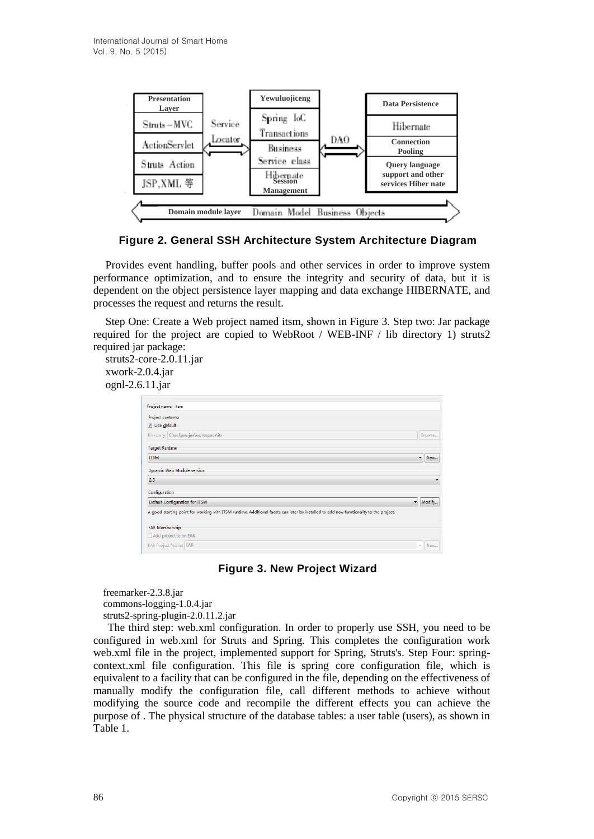

**Figure 2. General SSH Architecture System Architecture Diagram**

Provides event handling, buffer pools and other services in order to improve system performance optimization, and to ensure the integrity and security of data, but it is dependent on the object persistence layer mapping and data exchange HIBERNATE, and processes the request and returns the result.

Step One: Create a Web project named itsm, shown in Figure 3. Step two: Jar package required for the project are copied to WebRoot / WEB-INF / lib directory 1) struts2 required jar package:

struts2-core-2.0.11.jar xwork-2.0.4.jar ognl-2.6.11.jar

| Project name: itsm                                                                                                                     |              |
|----------------------------------------------------------------------------------------------------------------------------------------|--------------|
| Project contents:                                                                                                                      |              |
| V Use default                                                                                                                          |              |
| Directory: G:\eclipse-jee\workspace\its                                                                                                | Browse       |
| <b>Target Runtime</b>                                                                                                                  |              |
| <b>ITSM</b>                                                                                                                            | New<br>۰     |
| Dynamic Web Module version                                                                                                             |              |
| 2.5                                                                                                                                    | ٠            |
| Configuration                                                                                                                          |              |
| Default Configuration for ITSM                                                                                                         | Modify.<br>۰ |
| A good starting point for working with ITSM runtime. Additional facets can later be installed to add new functionality to the project. |              |
| <b>EAR Membership</b>                                                                                                                  |              |
| Add project to an EAR                                                                                                                  |              |
| EAR Project Name: EAR                                                                                                                  | New<br>v     |

**Figure 3. New Project Wizard**

freemarker-2.3.8.jar commons-logging-1.0.4.jar struts2-spring-plugin-2.0.11.2.jar

The third step: web.xml configuration. In order to properly use SSH, you need to be configured in web.xml for Struts and Spring. This completes the configuration work web.xml file in the project, implemented support for Spring, Struts's. Step Four: springcontext.xml file configuration. This file is spring core configuration file, which is equivalent to a facility that can be configured in the file, depending on the effectiveness of manually modify the configuration file, call different methods to achieve without modifying the source code and recompile the different effects you can achieve the purpose of . The physical structure of the database tables: a user table (users), as shown in Table 1.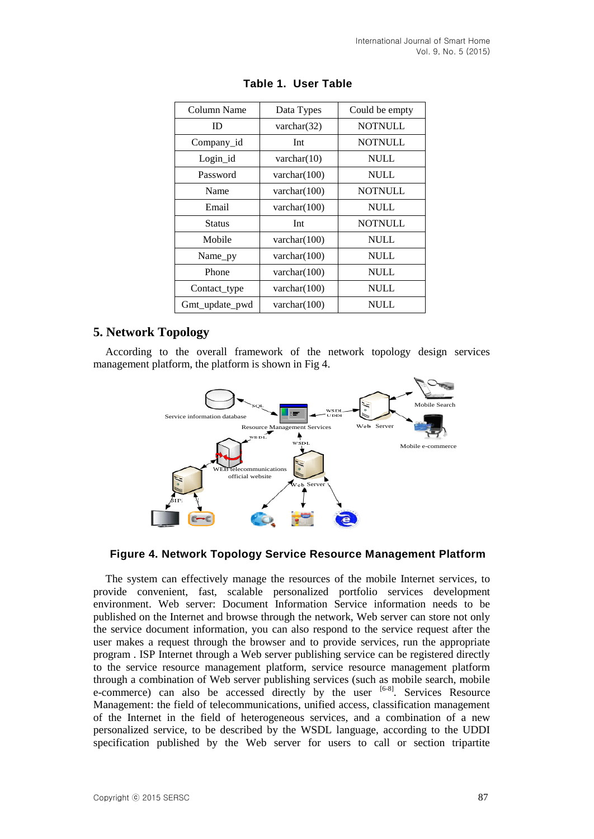| Column Name    | Data Types      | Could be empty |  |  |  |
|----------------|-----------------|----------------|--|--|--|
| ID             | varchar $(32)$  | <b>NOTNULL</b> |  |  |  |
| Company_id     | Int             | <b>NOTNULL</b> |  |  |  |
| Login_id       | varchar $(10)$  | <b>NULL</b>    |  |  |  |
| Password       | varchar $(100)$ | <b>NULL</b>    |  |  |  |
| Name           | varchar $(100)$ | <b>NOTNULL</b> |  |  |  |
| Email          | varchar $(100)$ | <b>NULL</b>    |  |  |  |
| <b>Status</b>  | Int             | <b>NOTNULL</b> |  |  |  |
| Mobile         | varchar $(100)$ | <b>NULL</b>    |  |  |  |
| Name_py        | varchar $(100)$ | NULL           |  |  |  |
| Phone          | varchar $(100)$ | <b>NULL</b>    |  |  |  |
| Contact_type   | varchar $(100)$ | <b>NULL</b>    |  |  |  |
| Gmt_update_pwd | varchar $(100)$ | NULL           |  |  |  |

| Table 1. User Table |  |  |  |  |  |
|---------------------|--|--|--|--|--|
|                     |  |  |  |  |  |

## **5. Network Topology**

According to the overall framework of the network topology design services management platform, the platform is shown in Fig 4.



### **Figure 4. Network Topology Service Resource Management Platform**

The system can effectively manage the resources of the mobile Internet services, to provide convenient, fast, scalable personalized portfolio services development environment. Web server: Document Information Service information needs to be published on the Internet and browse through the network, Web server can store not only the service document information, you can also respond to the service request after the user makes a request through the browser and to provide services, run the appropriate program . ISP Internet through a Web server publishing service can be registered directly to the service resource management platform, service resource management platform through a combination of Web server publishing services (such as mobile search, mobile e-commerce) can also be accessed directly by the user <sup>[6-8]</sup>. Services Resource Management: the field of telecommunications, unified access, classification management of the Internet in the field of heterogeneous services, and a combination of a new personalized service, to be described by the WSDL language, according to the UDDI specification published by the Web server for users to call or section tripartite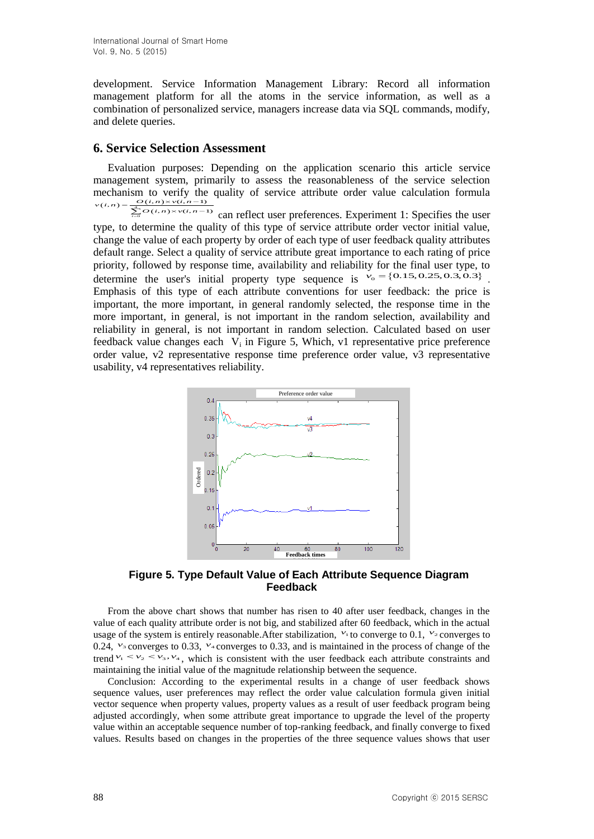development. Service Information Management Library: Record all information management platform for all the atoms in the service information, as well as a combination of personalized service, managers increase data via SQL commands, modify, and delete queries.

#### **6. Service Selection Assessment**

Evaluation purposes: Depending on the application scenario this article service management system, primarily to assess the reasonableness of the service selection mechanism to verify the quality of service attribute order value calculation formula  $(i,n) = \frac{O(i,n)}{4}$  $\sum_{i=1}^{4} O(i,n)$ chanism to verify the<br>  $\sum_{n=0}^{\infty} \frac{O(i, n) \times V(i, n-1)}{O(i, n) \times V(i, n-1)}$ mechanism to verify t<br>  $v(i,n) = \frac{O(i,n) \times v(i,n-1)}{\sum_{i=0}^{n} O(i,n) \times v(i,n)}$ nism to verify the quality of service attribute order value calculation formula<br>=  $\frac{Q(i,n)\times V(i,n-1)}{\sum_{i=0}^{4}Q(i,n)\times V(i,n-1)}$  can reflect user preferences. Experiment 1: Specifies the user

0 type, to determine the quality of this type of service attribute order vector initial value, change the value of each property by order of each type of user feedback quality attributes default range. Select a quality of service attribute great importance to each rating of price priority, followed by response time, availability and reliability for the final user type, to determine the user's initial property type sequence is  $v_0 = \{0.15, 0.25, 0.3, 0.3\}$ . Emphasis of this type of each attribute conventions for user feedback: the price is important, the more important, in general randomly selected, the response time in the more important, in general, is not important in the random selection, availability and reliability in general, is not important in random selection. Calculated based on user feedback value changes each  $V_i$  in Figure 5, Which, v1 representative price preference order value, v2 representative response time preference order value, v3 representative usability, v4 representatives reliability.



**Figure 5. Type Default Value of Each Attribute Sequence Diagram Feedback**

From the above chart shows that number has risen to 40 after user feedback, changes in the value of each quality attribute order is not big, and stabilized after 60 feedback, which in the actual usage of the system is entirely reasonable. After stabilization,  $v_1$  to converge to 0.1,  $v_2$  converges to  $0.24$ ,  $v_3$  converges to  $0.33$ ,  $v_4$  converges to  $0.33$ , and is maintained in the process of change of the trend  $v_1 < v_2 < v_3$ ,  $v_4$ , which is consistent with the user feedback each attribute constraints and maintaining the initial value of the magnitude relationship between the sequence.

Conclusion: According to the experimental results in a change of user feedback shows sequence values, user preferences may reflect the order value calculation formula given initial vector sequence when property values, property values as a result of user feedback program being adjusted accordingly, when some attribute great importance to upgrade the level of the property value within an acceptable sequence number of top-ranking feedback, and finally converge to fixed values. Results based on changes in the properties of the three sequence values shows that user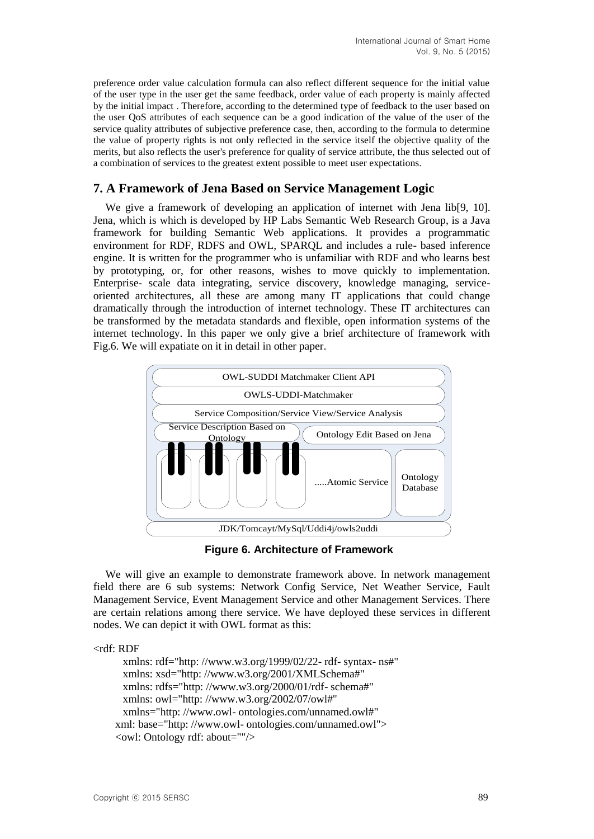preference order value calculation formula can also reflect different sequence for the initial value of the user type in the user get the same feedback, order value of each property is mainly affected by the initial impact . Therefore, according to the determined type of feedback to the user based on the user QoS attributes of each sequence can be a good indication of the value of the user of the service quality attributes of subjective preference case, then, according to the formula to determine the value of property rights is not only reflected in the service itself the objective quality of the merits, but also reflects the user's preference for quality of service attribute, the thus selected out of a combination of services to the greatest extent possible to meet user expectations.

## **7. A Framework of Jena Based on Service Management Logic**

We give a framework of developing an application of internet with Jena lib[9, 10]. Jena, which is which is developed by HP Labs Semantic Web Research Group, is a Java framework for building Semantic Web applications. It provides a programmatic environment for RDF, RDFS and OWL, SPARQL and includes a rule- based inference engine. It is written for the programmer who is unfamiliar with RDF and who learns best by prototyping, or, for other reasons, wishes to move quickly to implementation. Enterprise- scale data integrating, service discovery, knowledge managing, serviceoriented architectures, all these are among many IT applications that could change dramatically through the introduction of internet technology. These IT architectures can be transformed by the metadata standards and flexible, open information systems of the internet technology. In this paper we only give a brief architecture of framework with Fig.6. We will expatiate on it in detail in other paper.



**Figure 6. Architecture of Framework**

We will give an example to demonstrate framework above. In network management field there are 6 sub systems: Network Config Service, Net Weather Service, Fault Management Service, Event Management Service and other Management Services. There are certain relations among there service. We have deployed these services in different nodes. We can depict it with OWL format as this:

<rdf: RDF

```
xmlns: rdf="http: //www.w3.org/1999/02/22- rdf- syntax- ns#"
 xmlns: xsd="http: //www.w3.org/2001/XMLSchema#"
 xmlns: rdfs="http: //www.w3.org/2000/01/rdf- schema#"
 xmlns: owl="http: //www.w3.org/2002/07/owl#"
 xmlns="http: //www.owl- ontologies.com/unnamed.owl#"
 xml: base="http: //www.owl- ontologies.com/unnamed.owl">
 <owl: Ontology rdf: about=""/>
```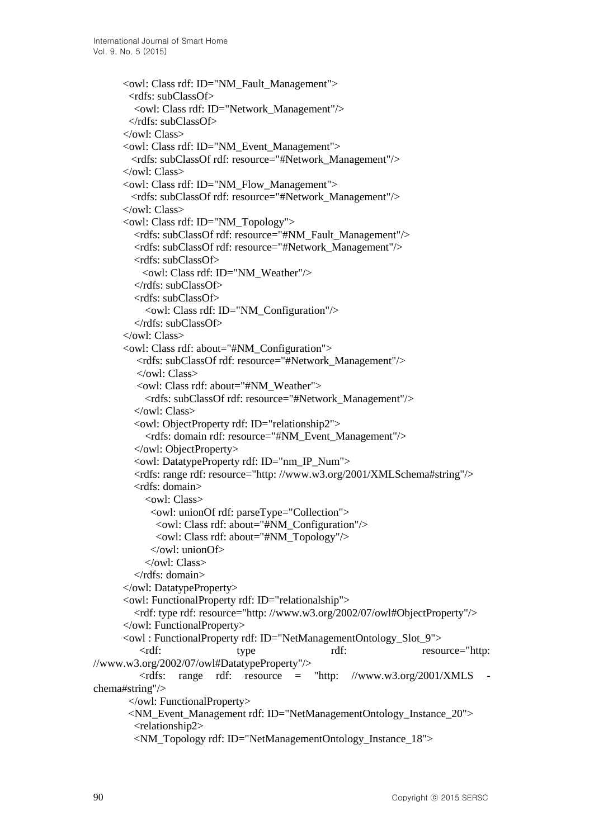```
<owl: Class rdf: ID="NM_Fault_Management">
        <rdfs: subClassOf>
         <owl: Class rdf: ID="Network_Management"/>
        </rdfs: subClassOf>
      </owl: Class>
      <owl: Class rdf: ID="NM_Event_Management">
         <rdfs: subClassOf rdf: resource="#Network_Management"/>
      </owl: Class>
      <owl: Class rdf: ID="NM_Flow_Management">
         <rdfs: subClassOf rdf: resource="#Network_Management"/>
      </owl: Class>
      <owl: Class rdf: ID="NM_Topology">
         <rdfs: subClassOf rdf: resource="#NM_Fault_Management"/>
         <rdfs: subClassOf rdf: resource="#Network_Management"/>
         <rdfs: subClassOf>
           <owl: Class rdf: ID="NM_Weather"/>
         </rdfs: subClassOf>
         <rdfs: subClassOf>
          \leqowl: Class rdf: ID="NM_Configuration"/> </rdfs: subClassOf>
      \langle/\alphawl: Class
      <owl: Class rdf: about="#NM_Configuration">
         <rdfs: subClassOf rdf: resource="#Network_Management"/>
          </owl: Class>
         <owl: Class rdf: about="#NM_Weather">
           <rdfs: subClassOf rdf: resource="#Network_Management"/>
        </owl: Class>
        <owl: ObjectProperty rdf: ID="relationship2">
           <rdfs: domain rdf: resource="#NM_Event_Management"/>
        </owl: ObjectProperty>
        <owl: DatatypeProperty rdf: ID="nm_IP_Num">
        <rdfs: range rdf: resource="http: //www.w3.org/2001/XMLSchema#string"/>
        <rdfs: domain>
          <owl: Class>
            <owl: unionOf rdf: parseType="Collection">
             <owl: Class rdf: about="#NM_Configuration"/>
             <owl: Class rdf: about="#NM_Topology"/>
            </owl: unionOf>
          </owl: Class>
        </rdfs: domain>
      </owl: DatatypeProperty>
      <owl: FunctionalProperty rdf: ID="relationalship">
        <rdf: type rdf: resource="http: //www.w3.org/2002/07/owl#ObjectProperty"/>
      </owl: FunctionalProperty>
      <owl : FunctionalProperty rdf: ID="NetManagementOntology_Slot_9">
         <rdf: type rdf: resource="http: 
//www.w3.org/2002/07/owl#DatatypeProperty"/>
         \langle \text{rdfs: range} \quad \text{rdf:} \quad \text{resource} = \quad \text{rhttp:} \quad \text{/www.w3.org/2001/XMLS}chema#string"/>
       </owl: FunctionalProperty>
       <NM_Event_Management rdf: ID="NetManagementOntology_Instance_20">
        <relationship2>
        <NM_Topology rdf: ID="NetManagementOntology_Instance_18">
```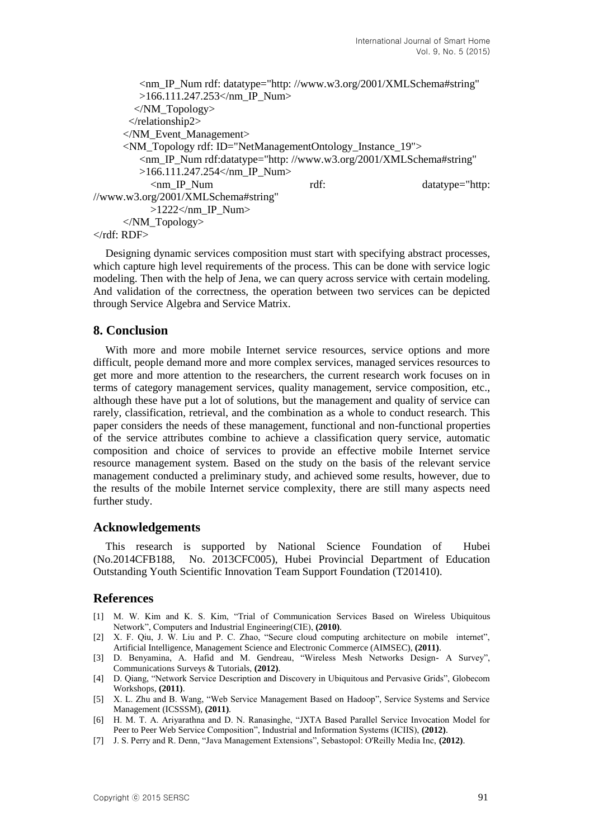```
<nm_IP_Num rdf: datatype="http: //www.w3.org/2001/XMLSchema#string"
        >166.111.247.253</nm_IP_Num>
       </NM_Topology>
      </relationship2>
     </NM_Event_Management>
     <NM_Topology rdf: ID="NetManagementOntology_Instance_19">
        <nm_IP_Num rdf:datatype="http: //www.w3.org/2001/XMLSchema#string"
        >166.111.247.254</nm_IP_Num>
          <nm_IP_Num rdf: datatype="http: 
//www.w3.org/2001/XMLSchema#string"
          >1222 </nm IP Num></NM_Topology>
\langle \text{rdf: RDF} \rangle
```
Designing dynamic services composition must start with specifying abstract processes, which capture high level requirements of the process. This can be done with service logic modeling. Then with the help of Jena, we can query across service with certain modeling. And validation of the correctness, the operation between two services can be depicted through Service Algebra and Service Matrix.

### **8. Conclusion**

With more and more mobile Internet service resources, service options and more difficult, people demand more and more complex services, managed services resources to get more and more attention to the researchers, the current research work focuses on in terms of category management services, quality management, service composition, etc., although these have put a lot of solutions, but the management and quality of service can rarely, classification, retrieval, and the combination as a whole to conduct research. This paper considers the needs of these management, functional and non-functional properties of the service attributes combine to achieve a classification query service, automatic composition and choice of services to provide an effective mobile Internet service resource management system. Based on the study on the basis of the relevant service management conducted a preliminary study, and achieved some results, however, due to the results of the mobile Internet service complexity, there are still many aspects need further study.

#### **Acknowledgements**

This research is supported by National Science Foundation of Hubei (No.2014CFB188, No. 2013CFC005), Hubei Provincial Department of Education Outstanding Youth Scientific Innovation Team Support Foundation (T201410).

#### **References**

- [1] M. W. Kim and K. S. Kim, "Trial of Communication Services Based on Wireless Ubiquitous Network", Computers and Industrial Engineering(CIE), **(2010)**.
- [2] X. F. Qiu, J. W. Liu and P. C. Zhao, "Secure cloud computing architecture on mobile internet", Artificial Intelligence, Management Science and Electronic Commerce (AIMSEC), **(2011)**.
- [3] D. Benyamina, A. Hafid and M. Gendreau, "Wireless Mesh Networks Design- A Survey", Communications Surveys & Tutorials, **(2012)**.
- [4] D. Qiang, "Network Service Description and Discovery in Ubiquitous and Pervasive Grids", Globecom Workshops, **(2011)**.
- [5] X. L. Zhu and B. Wang, "Web Service Management Based on Hadoop", Service Systems and Service Management (ICSSSM), **(2011)**.
- [6] H. M. T. A. Ariyarathna and D. N. Ranasinghe, "JXTA Based Parallel Service Invocation Model for Peer to Peer Web Service Composition", Industrial and Information Systems (ICIIS), **(2012)**.
- [7] J. S. Perry and R. Denn, "Java Management Extensions", Sebastopol: O'Reilly Media Inc, **(2012)**.